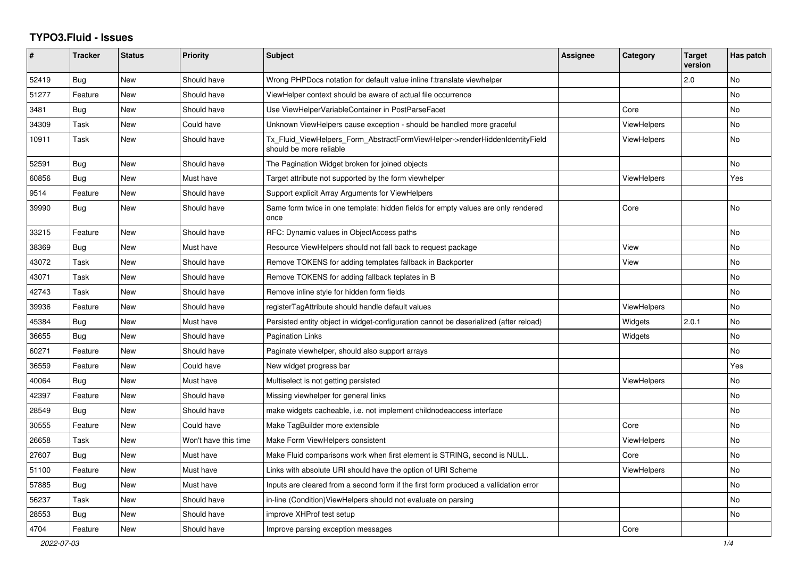## **TYPO3.Fluid - Issues**

| #     | <b>Tracker</b> | <b>Status</b> | <b>Priority</b>      | <b>Subject</b>                                                                                         | Assignee | Category           | <b>Target</b><br>version | Has patch |
|-------|----------------|---------------|----------------------|--------------------------------------------------------------------------------------------------------|----------|--------------------|--------------------------|-----------|
| 52419 | Bug            | New           | Should have          | Wrong PHPDocs notation for default value inline f:translate viewhelper                                 |          |                    | 2.0                      | No        |
| 51277 | Feature        | New           | Should have          | ViewHelper context should be aware of actual file occurrence                                           |          |                    |                          | <b>No</b> |
| 3481  | <b>Bug</b>     | New           | Should have          | Use ViewHelperVariableContainer in PostParseFacet                                                      |          | Core               |                          | No        |
| 34309 | Task           | New           | Could have           | Unknown ViewHelpers cause exception - should be handled more graceful                                  |          | <b>ViewHelpers</b> |                          | No        |
| 10911 | Task           | <b>New</b>    | Should have          | Tx_Fluid_ViewHelpers_Form_AbstractFormViewHelper->renderHiddenIdentityField<br>should be more reliable |          | <b>ViewHelpers</b> |                          | <b>No</b> |
| 52591 | <b>Bug</b>     | <b>New</b>    | Should have          | The Pagination Widget broken for joined objects                                                        |          |                    |                          | No.       |
| 60856 | Bug            | <b>New</b>    | Must have            | Target attribute not supported by the form viewhelper                                                  |          | <b>ViewHelpers</b> |                          | Yes       |
| 9514  | Feature        | New           | Should have          | Support explicit Array Arguments for ViewHelpers                                                       |          |                    |                          |           |
| 39990 | <b>Bug</b>     | New           | Should have          | Same form twice in one template: hidden fields for empty values are only rendered<br>once              |          | Core               |                          | <b>No</b> |
| 33215 | Feature        | New           | Should have          | RFC: Dynamic values in ObjectAccess paths                                                              |          |                    |                          | <b>No</b> |
| 38369 | Bug            | New           | Must have            | Resource ViewHelpers should not fall back to request package                                           |          | View               |                          | No        |
| 43072 | Task           | New           | Should have          | Remove TOKENS for adding templates fallback in Backporter                                              |          | View               |                          | No        |
| 43071 | Task           | New           | Should have          | Remove TOKENS for adding fallback teplates in B                                                        |          |                    |                          | No        |
| 42743 | Task           | <b>New</b>    | Should have          | Remove inline style for hidden form fields                                                             |          |                    |                          | No        |
| 39936 | Feature        | New           | Should have          | registerTagAttribute should handle default values                                                      |          | ViewHelpers        |                          | No        |
| 45384 | <b>Bug</b>     | New           | Must have            | Persisted entity object in widget-configuration cannot be deserialized (after reload)                  |          | Widgets            | 2.0.1                    | No        |
| 36655 | Bug            | New           | Should have          | <b>Pagination Links</b>                                                                                |          | Widgets            |                          | <b>No</b> |
| 60271 | Feature        | New           | Should have          | Paginate viewhelper, should also support arrays                                                        |          |                    |                          | <b>No</b> |
| 36559 | Feature        | New           | Could have           | New widget progress bar                                                                                |          |                    |                          | Yes       |
| 40064 | Bug            | New           | Must have            | Multiselect is not getting persisted                                                                   |          | <b>ViewHelpers</b> |                          | No        |
| 42397 | Feature        | New           | Should have          | Missing viewhelper for general links                                                                   |          |                    |                          | No        |
| 28549 | <b>Bug</b>     | <b>New</b>    | Should have          | make widgets cacheable, i.e. not implement childnodeaccess interface                                   |          |                    |                          | <b>No</b> |
| 30555 | Feature        | New           | Could have           | Make TagBuilder more extensible                                                                        |          | Core               |                          | No        |
| 26658 | Task           | New           | Won't have this time | Make Form ViewHelpers consistent                                                                       |          | ViewHelpers        |                          | <b>No</b> |
| 27607 | Bug            | New           | Must have            | Make Fluid comparisons work when first element is STRING, second is NULL.                              |          | Core               |                          | No        |
| 51100 | Feature        | New           | Must have            | Links with absolute URI should have the option of URI Scheme                                           |          | <b>ViewHelpers</b> |                          | <b>No</b> |
| 57885 | Bug            | <b>New</b>    | Must have            | Inputs are cleared from a second form if the first form produced a vallidation error                   |          |                    |                          | <b>No</b> |
| 56237 | Task           | New           | Should have          | in-line (Condition) View Helpers should not evaluate on parsing                                        |          |                    |                          | No        |
| 28553 | Bug            | <b>New</b>    | Should have          | improve XHProf test setup                                                                              |          |                    |                          | No.       |
| 4704  | Feature        | <b>New</b>    | Should have          | Improve parsing exception messages                                                                     |          | Core               |                          |           |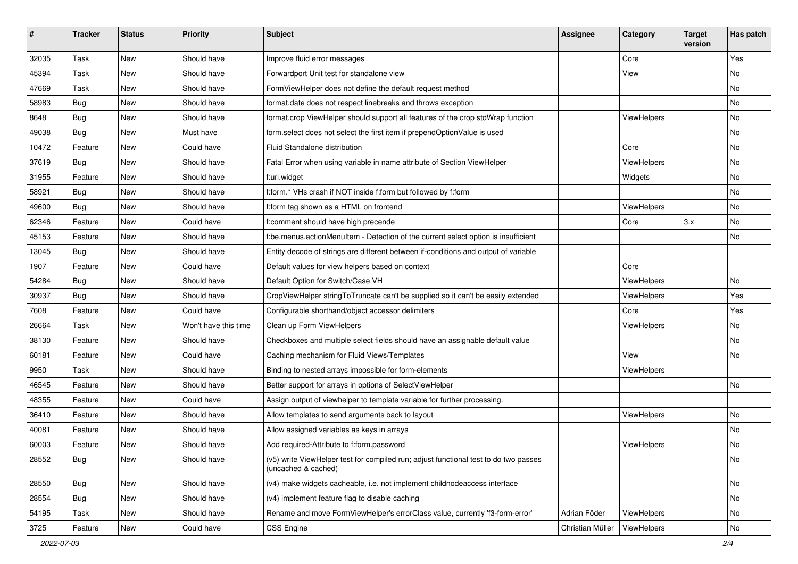| $\sharp$ | <b>Tracker</b> | <b>Status</b> | <b>Priority</b>      | Subject                                                                                                     | <b>Assignee</b>  | Category    | <b>Target</b><br>version | Has patch |
|----------|----------------|---------------|----------------------|-------------------------------------------------------------------------------------------------------------|------------------|-------------|--------------------------|-----------|
| 32035    | Task           | New           | Should have          | Improve fluid error messages                                                                                |                  | Core        |                          | Yes       |
| 45394    | Task           | New           | Should have          | Forwardport Unit test for standalone view                                                                   |                  | View        |                          | No        |
| 47669    | Task           | New           | Should have          | FormViewHelper does not define the default request method                                                   |                  |             |                          | No        |
| 58983    | Bug            | New           | Should have          | format.date does not respect linebreaks and throws exception                                                |                  |             |                          | No        |
| 8648     | Bug            | New           | Should have          | format.crop ViewHelper should support all features of the crop stdWrap function                             |                  | ViewHelpers |                          | No        |
| 49038    | Bug            | New           | Must have            | form.select does not select the first item if prependOptionValue is used                                    |                  |             |                          | <b>No</b> |
| 10472    | Feature        | New           | Could have           | Fluid Standalone distribution                                                                               |                  | Core        |                          | No        |
| 37619    | Bug            | <b>New</b>    | Should have          | Fatal Error when using variable in name attribute of Section ViewHelper                                     |                  | ViewHelpers |                          | No        |
| 31955    | Feature        | New           | Should have          | f:uri.widget                                                                                                |                  | Widgets     |                          | No        |
| 58921    | Bug            | New           | Should have          | f:form.* VHs crash if NOT inside f:form but followed by f:form                                              |                  |             |                          | No        |
| 49600    | Bug            | New           | Should have          | f:form tag shown as a HTML on frontend                                                                      |                  | ViewHelpers |                          | No        |
| 62346    | Feature        | New           | Could have           | f:comment should have high precende                                                                         |                  | Core        | 3.x                      | No        |
| 45153    | Feature        | New           | Should have          | f:be.menus.actionMenuItem - Detection of the current select option is insufficient                          |                  |             |                          | No        |
| 13045    | Bug            | New           | Should have          | Entity decode of strings are different between if-conditions and output of variable                         |                  |             |                          |           |
| 1907     | Feature        | New           | Could have           | Default values for view helpers based on context                                                            |                  | Core        |                          |           |
| 54284    | Bug            | New           | Should have          | Default Option for Switch/Case VH                                                                           |                  | ViewHelpers |                          | No        |
| 30937    | Bug            | New           | Should have          | CropViewHelper stringToTruncate can't be supplied so it can't be easily extended                            |                  | ViewHelpers |                          | Yes       |
| 7608     | Feature        | New           | Could have           | Configurable shorthand/object accessor delimiters                                                           |                  | Core        |                          | Yes       |
| 26664    | Task           | <b>New</b>    | Won't have this time | Clean up Form ViewHelpers                                                                                   |                  | ViewHelpers |                          | No        |
| 38130    | Feature        | New           | Should have          | Checkboxes and multiple select fields should have an assignable default value                               |                  |             |                          | No        |
| 60181    | Feature        | New           | Could have           | Caching mechanism for Fluid Views/Templates                                                                 |                  | View        |                          | No        |
| 9950     | Task           | New           | Should have          | Binding to nested arrays impossible for form-elements                                                       |                  | ViewHelpers |                          |           |
| 46545    | Feature        | New           | Should have          | Better support for arrays in options of SelectViewHelper                                                    |                  |             |                          | No        |
| 48355    | Feature        | New           | Could have           | Assign output of viewhelper to template variable for further processing.                                    |                  |             |                          |           |
| 36410    | Feature        | New           | Should have          | Allow templates to send arguments back to layout                                                            |                  | ViewHelpers |                          | No        |
| 40081    | Feature        | New           | Should have          | Allow assigned variables as keys in arrays                                                                  |                  |             |                          | <b>No</b> |
| 60003    | Feature        | New           | Should have          | Add required-Attribute to f:form.password                                                                   |                  | ViewHelpers |                          | No        |
| 28552    | <b>Bug</b>     | New           | Should have          | (v5) write ViewHelper test for compiled run; adjust functional test to do two passes<br>(uncached & cached) |                  |             |                          | No        |
| 28550    | <b>Bug</b>     | New           | Should have          | (v4) make widgets cacheable, i.e. not implement childnodeaccess interface                                   |                  |             |                          | No        |
| 28554    | Bug            | New           | Should have          | (v4) implement feature flag to disable caching                                                              |                  |             |                          | No        |
| 54195    | Task           | New           | Should have          | Rename and move FormViewHelper's errorClass value, currently 'f3-form-error'                                | Adrian Föder     | ViewHelpers |                          | No        |
| 3725     | Feature        | New           | Could have           | CSS Engine                                                                                                  | Christian Müller | ViewHelpers |                          | No        |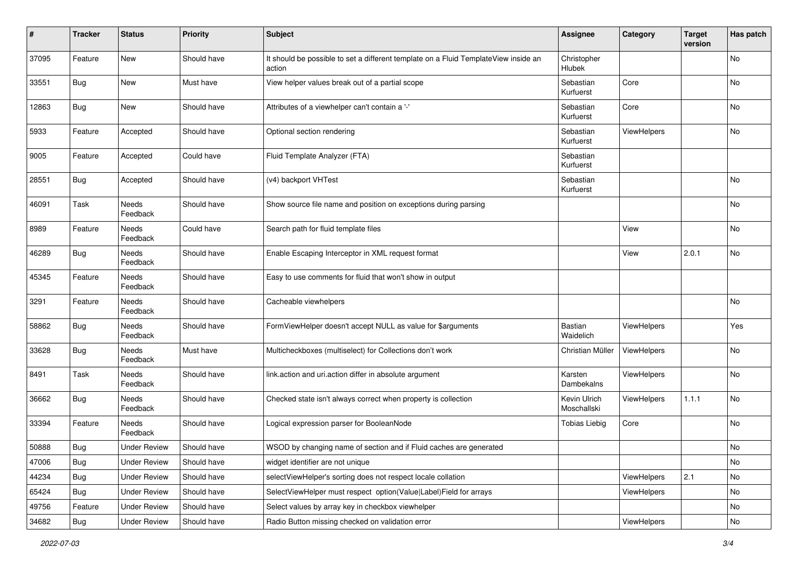| ∦     | <b>Tracker</b> | <b>Status</b>            | <b>Priority</b> | <b>Subject</b>                                                                                | <b>Assignee</b>              | Category           | <b>Target</b><br>version | Has patch |
|-------|----------------|--------------------------|-----------------|-----------------------------------------------------------------------------------------------|------------------------------|--------------------|--------------------------|-----------|
| 37095 | Feature        | New                      | Should have     | It should be possible to set a different template on a Fluid TemplateView inside an<br>action | Christopher<br><b>Hlubek</b> |                    |                          | No        |
| 33551 | Bug            | New                      | Must have       | View helper values break out of a partial scope                                               | Sebastian<br>Kurfuerst       | Core               |                          | No        |
| 12863 | <b>Bug</b>     | New                      | Should have     | Attributes of a viewhelper can't contain a '-'                                                | Sebastian<br>Kurfuerst       | Core               |                          | No        |
| 5933  | Feature        | Accepted                 | Should have     | Optional section rendering                                                                    | Sebastian<br>Kurfuerst       | <b>ViewHelpers</b> |                          | <b>No</b> |
| 9005  | Feature        | Accepted                 | Could have      | Fluid Template Analyzer (FTA)                                                                 | Sebastian<br>Kurfuerst       |                    |                          |           |
| 28551 | <b>Bug</b>     | Accepted                 | Should have     | (v4) backport VHTest                                                                          | Sebastian<br>Kurfuerst       |                    |                          | <b>No</b> |
| 46091 | Task           | Needs<br>Feedback        | Should have     | Show source file name and position on exceptions during parsing                               |                              |                    |                          | <b>No</b> |
| 8989  | Feature        | Needs<br>Feedback        | Could have      | Search path for fluid template files                                                          |                              | View               |                          | No        |
| 46289 | <b>Bug</b>     | Needs<br>Feedback        | Should have     | Enable Escaping Interceptor in XML request format                                             |                              | View               | 2.0.1                    | No        |
| 45345 | Feature        | Needs<br>Feedback        | Should have     | Easy to use comments for fluid that won't show in output                                      |                              |                    |                          |           |
| 3291  | Feature        | Needs<br>Feedback        | Should have     | Cacheable viewhelpers                                                                         |                              |                    |                          | No        |
| 58862 | <b>Bug</b>     | <b>Needs</b><br>Feedback | Should have     | FormViewHelper doesn't accept NULL as value for \$arguments                                   | Bastian<br>Waidelich         | ViewHelpers        |                          | Yes       |
| 33628 | <b>Bug</b>     | <b>Needs</b><br>Feedback | Must have       | Multicheckboxes (multiselect) for Collections don't work                                      | Christian Müller             | ViewHelpers        |                          | <b>No</b> |
| 8491  | Task           | Needs<br>Feedback        | Should have     | link.action and uri.action differ in absolute argument                                        | Karsten<br>Dambekalns        | ViewHelpers        |                          | <b>No</b> |
| 36662 | <b>Bug</b>     | <b>Needs</b><br>Feedback | Should have     | Checked state isn't always correct when property is collection                                | Kevin Ulrich<br>Moschallski  | ViewHelpers        | 1.1.1                    | No        |
| 33394 | Feature        | Needs<br>Feedback        | Should have     | Logical expression parser for BooleanNode                                                     | <b>Tobias Liebig</b>         | Core               |                          | No        |
| 50888 | Bug            | <b>Under Review</b>      | Should have     | WSOD by changing name of section and if Fluid caches are generated                            |                              |                    |                          | <b>No</b> |
| 47006 | <b>Bug</b>     | <b>Under Review</b>      | Should have     | widget identifier are not unique                                                              |                              |                    |                          | No        |
| 44234 | <b>Bug</b>     | <b>Under Review</b>      | Should have     | selectViewHelper's sorting does not respect locale collation                                  |                              | ViewHelpers        | 2.1                      | No        |
| 65424 | <b>Bug</b>     | <b>Under Review</b>      | Should have     | SelectViewHelper must respect option(Value Label)Field for arrays                             |                              | ViewHelpers        |                          | No        |
| 49756 | Feature        | <b>Under Review</b>      | Should have     | Select values by array key in checkbox viewhelper                                             |                              |                    |                          | No        |
| 34682 | Bug            | <b>Under Review</b>      | Should have     | Radio Button missing checked on validation error                                              |                              | ViewHelpers        |                          | No        |